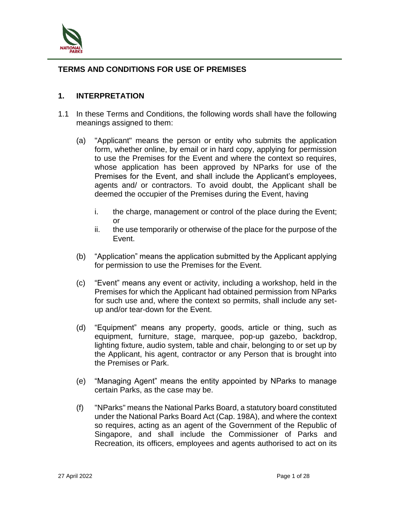

## **TERMS AND CONDITIONS FOR USE OF PREMISES**

#### **1. INTERPRETATION**

- 1.1 In these Terms and Conditions, the following words shall have the following meanings assigned to them:
	- (a) "Applicant" means the person or entity who submits the application form, whether online, by email or in hard copy, applying for permission to use the Premises for the Event and where the context so requires, whose application has been approved by NParks for use of the Premises for the Event, and shall include the Applicant's employees, agents and/ or contractors. To avoid doubt, the Applicant shall be deemed the occupier of the Premises during the Event, having
		- i. the charge, management or control of the place during the Event; or
		- ii. the use temporarily or otherwise of the place for the purpose of the Event.
	- (b) "Application" means the application submitted by the Applicant applying for permission to use the Premises for the Event.
	- (c) "Event" means any event or activity, including a workshop, held in the Premises for which the Applicant had obtained permission from NParks for such use and, where the context so permits, shall include any setup and/or tear-down for the Event.
	- (d) "Equipment" means any property, goods, article or thing, such as equipment, furniture, stage, marquee, pop-up gazebo, backdrop, lighting fixture, audio system, table and chair, belonging to or set up by the Applicant, his agent, contractor or any Person that is brought into the Premises or Park.
	- (e) "Managing Agent" means the entity appointed by NParks to manage certain Parks, as the case may be.
	- (f) "NParks" means the National Parks Board, a statutory board constituted under the National Parks Board Act (Cap. 198A), and where the context so requires, acting as an agent of the Government of the Republic of Singapore, and shall include the Commissioner of Parks and Recreation, its officers, employees and agents authorised to act on its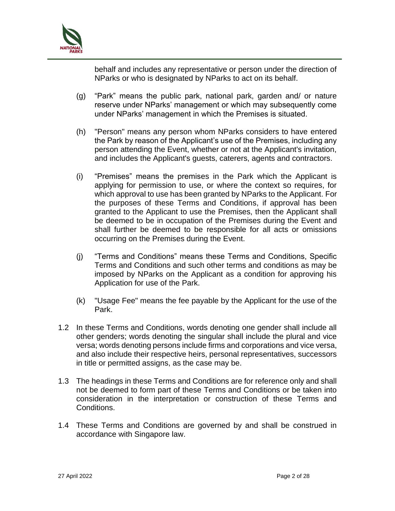

behalf and includes any representative or person under the direction of NParks or who is designated by NParks to act on its behalf.

- (g) "Park" means the public park, national park, garden and/ or nature reserve under NParks' management or which may subsequently come under NParks' management in which the Premises is situated.
- (h) "Person" means any person whom NParks considers to have entered the Park by reason of the Applicant's use of the Premises, including any person attending the Event, whether or not at the Applicant's invitation, and includes the Applicant's guests, caterers, agents and contractors.
- (i) "Premises" means the premises in the Park which the Applicant is applying for permission to use, or where the context so requires, for which approval to use has been granted by NParks to the Applicant. For the purposes of these Terms and Conditions, if approval has been granted to the Applicant to use the Premises, then the Applicant shall be deemed to be in occupation of the Premises during the Event and shall further be deemed to be responsible for all acts or omissions occurring on the Premises during the Event.
- (j) "Terms and Conditions" means these Terms and Conditions, Specific Terms and Conditions and such other terms and conditions as may be imposed by NParks on the Applicant as a condition for approving his Application for use of the Park.
- (k) "Usage Fee" means the fee payable by the Applicant for the use of the Park.
- 1.2 In these Terms and Conditions, words denoting one gender shall include all other genders; words denoting the singular shall include the plural and vice versa; words denoting persons include firms and corporations and vice versa, and also include their respective heirs, personal representatives, successors in title or permitted assigns, as the case may be.
- 1.3 The headings in these Terms and Conditions are for reference only and shall not be deemed to form part of these Terms and Conditions or be taken into consideration in the interpretation or construction of these Terms and Conditions.
- 1.4 These Terms and Conditions are governed by and shall be construed in accordance with Singapore law.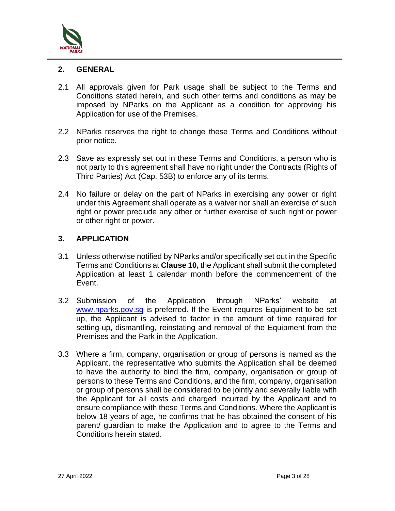

### **2. GENERAL**

- 2.1 All approvals given for Park usage shall be subject to the Terms and Conditions stated herein, and such other terms and conditions as may be imposed by NParks on the Applicant as a condition for approving his Application for use of the Premises.
- 2.2 NParks reserves the right to change these Terms and Conditions without prior notice.
- 2.3 Save as expressly set out in these Terms and Conditions, a person who is not party to this agreement shall have no right under the Contracts (Rights of Third Parties) Act (Cap. 53B) to enforce any of its terms.
- 2.4 No failure or delay on the part of NParks in exercising any power or right under this Agreement shall operate as a waiver nor shall an exercise of such right or power preclude any other or further exercise of such right or power or other right or power.

## **3. APPLICATION**

- 3.1 Unless otherwise notified by NParks and/or specifically set out in the Specific Terms and Conditions at **Clause 10,** the Applicant shall submit the completed Application at least 1 calendar month before the commencement of the Event.
- 3.2 Submission of the Application through NParks' website at [www.nparks.gov.sg](http://www.nparks.gov.sg/) is preferred. If the Event requires Equipment to be set up, the Applicant is advised to factor in the amount of time required for setting-up, dismantling, reinstating and removal of the Equipment from the Premises and the Park in the Application.
- 3.3 Where a firm, company, organisation or group of persons is named as the Applicant, the representative who submits the Application shall be deemed to have the authority to bind the firm, company, organisation or group of persons to these Terms and Conditions, and the firm, company, organisation or group of persons shall be considered to be jointly and severally liable with the Applicant for all costs and charged incurred by the Applicant and to ensure compliance with these Terms and Conditions. Where the Applicant is below 18 years of age, he confirms that he has obtained the consent of his parent/ guardian to make the Application and to agree to the Terms and Conditions herein stated.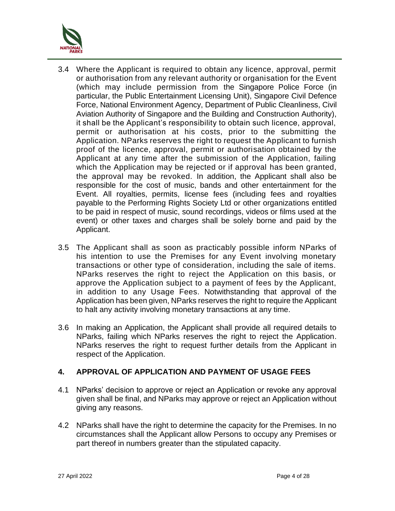

- 3.4 Where the Applicant is required to obtain any licence, approval, permit or authorisation from any relevant authority or organisation for the Event (which may include permission from the Singapore Police Force (in particular, the Public Entertainment Licensing Unit), Singapore Civil Defence Force, National Environment Agency, Department of Public Cleanliness, Civil Aviation Authority of Singapore and the Building and Construction Authority), it shall be the Applicant's responsibility to obtain such licence, approval, permit or authorisation at his costs, prior to the submitting the Application. NParks reserves the right to request the Applicant to furnish proof of the licence, approval, permit or authorisation obtained by the Applicant at any time after the submission of the Application, failing which the Application may be rejected or if approval has been granted, the approval may be revoked. In addition, the Applicant shall also be responsible for the cost of music, bands and other entertainment for the Event. All royalties, permits, license fees (including fees and royalties payable to the Performing Rights Society Ltd or other organizations entitled to be paid in respect of music, sound recordings, videos or films used at the event) or other taxes and charges shall be solely borne and paid by the Applicant.
- 3.5 The Applicant shall as soon as practicably possible inform NParks of his intention to use the Premises for any Event involving monetary transactions or other type of consideration, including the sale of items. NParks reserves the right to reject the Application on this basis, or approve the Application subject to a payment of fees by the Applicant, in addition to any Usage Fees. Notwithstanding that approval of the Application has been given, NParks reserves the right to require the Applicant to halt any activity involving monetary transactions at any time.
- 3.6 In making an Application, the Applicant shall provide all required details to NParks, failing which NParks reserves the right to reject the Application. NParks reserves the right to request further details from the Applicant in respect of the Application.

# **4. APPROVAL OF APPLICATION AND PAYMENT OF USAGE FEES**

- 4.1 NParks' decision to approve or reject an Application or revoke any approval given shall be final, and NParks may approve or reject an Application without giving any reasons.
- 4.2 NParks shall have the right to determine the capacity for the Premises. In no circumstances shall the Applicant allow Persons to occupy any Premises or part thereof in numbers greater than the stipulated capacity.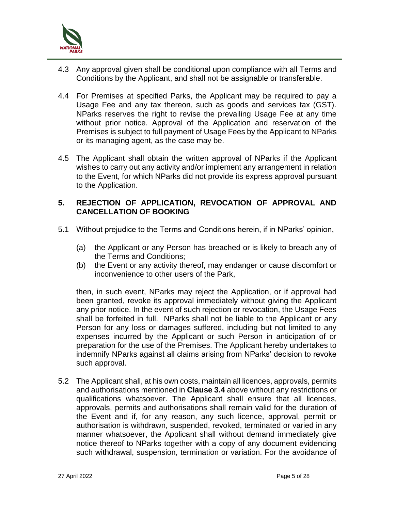

- 4.3 Any approval given shall be conditional upon compliance with all Terms and Conditions by the Applicant, and shall not be assignable or transferable.
- 4.4 For Premises at specified Parks, the Applicant may be required to pay a Usage Fee and any tax thereon, such as goods and services tax (GST). NParks reserves the right to revise the prevailing Usage Fee at any time without prior notice. Approval of the Application and reservation of the Premises is subject to full payment of Usage Fees by the Applicant to NParks or its managing agent, as the case may be.
- 4.5 The Applicant shall obtain the written approval of NParks if the Applicant wishes to carry out any activity and/or implement any arrangement in relation to the Event, for which NParks did not provide its express approval pursuant to the Application.

## **5. REJECTION OF APPLICATION, REVOCATION OF APPROVAL AND CANCELLATION OF BOOKING**

- 5.1 Without prejudice to the Terms and Conditions herein, if in NParks' opinion,
	- (a) the Applicant or any Person has breached or is likely to breach any of the Terms and Conditions;
	- (b) the Event or any activity thereof, may endanger or cause discomfort or inconvenience to other users of the Park,

then, in such event, NParks may reject the Application, or if approval had been granted, revoke its approval immediately without giving the Applicant any prior notice. In the event of such rejection or revocation, the Usage Fees shall be forfeited in full. NParks shall not be liable to the Applicant or any Person for any loss or damages suffered, including but not limited to any expenses incurred by the Applicant or such Person in anticipation of or preparation for the use of the Premises. The Applicant hereby undertakes to indemnify NParks against all claims arising from NParks' decision to revoke such approval.

5.2 The Applicant shall, at his own costs, maintain all licences, approvals, permits and authorisations mentioned in **Clause 3.4** above without any restrictions or qualifications whatsoever. The Applicant shall ensure that all licences, approvals, permits and authorisations shall remain valid for the duration of the Event and if, for any reason, any such licence, approval, permit or authorisation is withdrawn, suspended, revoked, terminated or varied in any manner whatsoever, the Applicant shall without demand immediately give notice thereof to NParks together with a copy of any document evidencing such withdrawal, suspension, termination or variation. For the avoidance of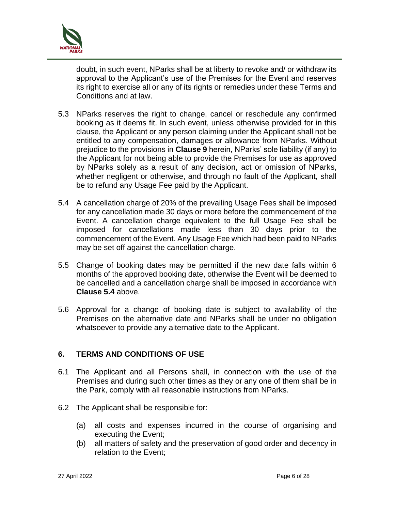

doubt, in such event, NParks shall be at liberty to revoke and/ or withdraw its approval to the Applicant's use of the Premises for the Event and reserves its right to exercise all or any of its rights or remedies under these Terms and Conditions and at law.

- 5.3 NParks reserves the right to change, cancel or reschedule any confirmed booking as it deems fit. In such event, unless otherwise provided for in this clause, the Applicant or any person claiming under the Applicant shall not be entitled to any compensation, damages or allowance from NParks. Without prejudice to the provisions in **Clause 9** herein, NParks' sole liability (if any) to the Applicant for not being able to provide the Premises for use as approved by NParks solely as a result of any decision, act or omission of NParks, whether negligent or otherwise, and through no fault of the Applicant, shall be to refund any Usage Fee paid by the Applicant.
- 5.4 A cancellation charge of 20% of the prevailing Usage Fees shall be imposed for any cancellation made 30 days or more before the commencement of the Event. A cancellation charge equivalent to the full Usage Fee shall be imposed for cancellations made less than 30 days prior to the commencement of the Event. Any Usage Fee which had been paid to NParks may be set off against the cancellation charge.
- 5.5 Change of booking dates may be permitted if the new date falls within 6 months of the approved booking date, otherwise the Event will be deemed to be cancelled and a cancellation charge shall be imposed in accordance with **Clause 5.4** above.
- 5.6 Approval for a change of booking date is subject to availability of the Premises on the alternative date and NParks shall be under no obligation whatsoever to provide any alternative date to the Applicant.

# **6. TERMS AND CONDITIONS OF USE**

- 6.1 The Applicant and all Persons shall, in connection with the use of the Premises and during such other times as they or any one of them shall be in the Park, comply with all reasonable instructions from NParks.
- 6.2 The Applicant shall be responsible for:
	- (a) all costs and expenses incurred in the course of organising and executing the Event;
	- (b) all matters of safety and the preservation of good order and decency in relation to the Event;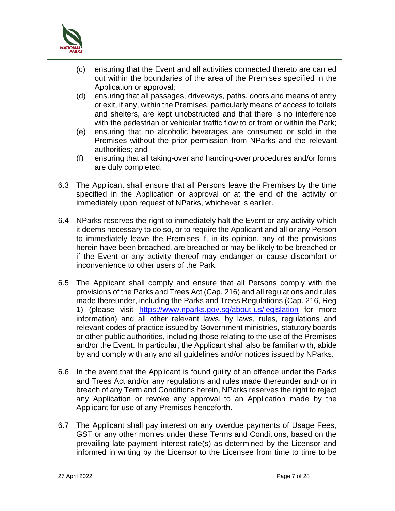

- (c) ensuring that the Event and all activities connected thereto are carried out within the boundaries of the area of the Premises specified in the Application or approval;
- (d) ensuring that all passages, driveways, paths, doors and means of entry or exit, if any, within the Premises, particularly means of access to toilets and shelters, are kept unobstructed and that there is no interference with the pedestrian or vehicular traffic flow to or from or within the Park;
- (e) ensuring that no alcoholic beverages are consumed or sold in the Premises without the prior permission from NParks and the relevant authorities; and
- (f) ensuring that all taking-over and handing-over procedures and/or forms are duly completed.
- 6.3 The Applicant shall ensure that all Persons leave the Premises by the time specified in the Application or approval or at the end of the activity or immediately upon request of NParks, whichever is earlier.
- 6.4 NParks reserves the right to immediately halt the Event or any activity which it deems necessary to do so, or to require the Applicant and all or any Person to immediately leave the Premises if, in its opinion, any of the provisions herein have been breached, are breached or may be likely to be breached or if the Event or any activity thereof may endanger or cause discomfort or inconvenience to other users of the Park.
- 6.5 The Applicant shall comply and ensure that all Persons comply with the provisions of the Parks and Trees Act (Cap. 216) and all regulations and rules made thereunder, including the Parks and Trees Regulations (Cap. 216, Reg 1) (please visit <https://www.nparks.gov.sg/about-us/legislation> for more information) and all other relevant laws, by laws, rules, regulations and relevant codes of practice issued by Government ministries, statutory boards or other public authorities, including those relating to the use of the Premises and/or the Event. In particular, the Applicant shall also be familiar with, abide by and comply with any and all guidelines and/or notices issued by NParks.
- 6.6 In the event that the Applicant is found guilty of an offence under the Parks and Trees Act and/or any regulations and rules made thereunder and/ or in breach of any Term and Conditions herein, NParks reserves the right to reject any Application or revoke any approval to an Application made by the Applicant for use of any Premises henceforth.
- 6.7 The Applicant shall pay interest on any overdue payments of Usage Fees, GST or any other monies under these Terms and Conditions, based on the prevailing late payment interest rate(s) as determined by the Licensor and informed in writing by the Licensor to the Licensee from time to time to be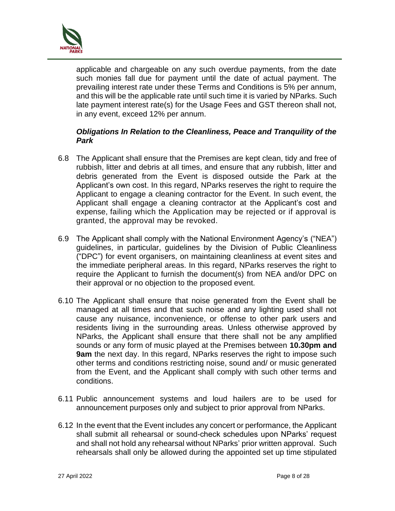

applicable and chargeable on any such overdue payments, from the date such monies fall due for payment until the date of actual payment. The prevailing interest rate under these Terms and Conditions is 5% per annum, and this will be the applicable rate until such time it is varied by NParks. Such late payment interest rate(s) for the Usage Fees and GST thereon shall not, in any event, exceed 12% per annum.

### *Obligations In Relation to the Cleanliness, Peace and Tranquility of the Park*

- 6.8 The Applicant shall ensure that the Premises are kept clean, tidy and free of rubbish, litter and debris at all times, and ensure that any rubbish, litter and debris generated from the Event is disposed outside the Park at the Applicant's own cost. In this regard, NParks reserves the right to require the Applicant to engage a cleaning contractor for the Event. In such event, the Applicant shall engage a cleaning contractor at the Applicant's cost and expense, failing which the Application may be rejected or if approval is granted, the approval may be revoked.
- 6.9 The Applicant shall comply with the National Environment Agency's ("NEA") guidelines, in particular, guidelines by the Division of Public Cleanliness ("DPC") for event organisers, on maintaining cleanliness at event sites and the immediate peripheral areas. In this regard, NParks reserves the right to require the Applicant to furnish the document(s) from NEA and/or DPC on their approval or no objection to the proposed event.
- 6.10 The Applicant shall ensure that noise generated from the Event shall be managed at all times and that such noise and any lighting used shall not cause any nuisance, inconvenience, or offense to other park users and residents living in the surrounding areas. Unless otherwise approved by NParks, the Applicant shall ensure that there shall not be any amplified sounds or any form of music played at the Premises between **10.30pm and 9am** the next day. In this regard, NParks reserves the right to impose such other terms and conditions restricting noise, sound and/ or music generated from the Event, and the Applicant shall comply with such other terms and conditions.
- 6.11 Public announcement systems and loud hailers are to be used for announcement purposes only and subject to prior approval from NParks.
- 6.12 In the event that the Event includes any concert or performance, the Applicant shall submit all rehearsal or sound-check schedules upon NParks' request and shall not hold any rehearsal without NParks' prior written approval. Such rehearsals shall only be allowed during the appointed set up time stipulated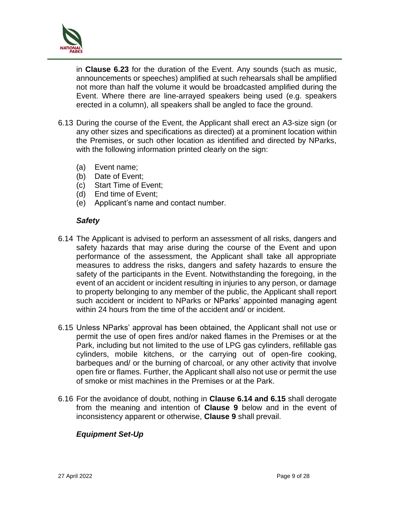

in **Clause 6.23** for the duration of the Event. Any sounds (such as music, announcements or speeches) amplified at such rehearsals shall be amplified not more than half the volume it would be broadcasted amplified during the Event. Where there are line-arrayed speakers being used (e.g. speakers erected in a column), all speakers shall be angled to face the ground.

- 6.13 During the course of the Event, the Applicant shall erect an A3-size sign (or any other sizes and specifications as directed) at a prominent location within the Premises, or such other location as identified and directed by NParks, with the following information printed clearly on the sign:
	- (a) Event name;
	- (b) Date of Event;
	- (c) Start Time of Event;
	- (d) End time of Event;
	- (e) Applicant's name and contact number.

#### *Safety*

- 6.14 The Applicant is advised to perform an assessment of all risks, dangers and safety hazards that may arise during the course of the Event and upon performance of the assessment, the Applicant shall take all appropriate measures to address the risks, dangers and safety hazards to ensure the safety of the participants in the Event. Notwithstanding the foregoing, in the event of an accident or incident resulting in injuries to any person, or damage to property belonging to any member of the public, the Applicant shall report such accident or incident to NParks or NParks' appointed managing agent within 24 hours from the time of the accident and/ or incident.
- 6.15 Unless NParks' approval has been obtained, the Applicant shall not use or permit the use of open fires and/or naked flames in the Premises or at the Park, including but not limited to the use of LPG gas cylinders, refillable gas cylinders, mobile kitchens, or the carrying out of open-fire cooking, barbeques and/ or the burning of charcoal, or any other activity that involve open fire or flames. Further, the Applicant shall also not use or permit the use of smoke or mist machines in the Premises or at the Park.
- 6.16 For the avoidance of doubt, nothing in **Clause 6.14 and 6.15** shall derogate from the meaning and intention of **Clause 9** below and in the event of inconsistency apparent or otherwise, **Clause 9** shall prevail.

# *Equipment Set-Up*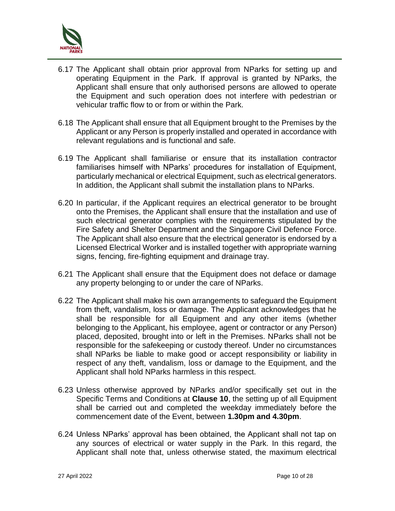

- 6.17 The Applicant shall obtain prior approval from NParks for setting up and operating Equipment in the Park. If approval is granted by NParks, the Applicant shall ensure that only authorised persons are allowed to operate the Equipment and such operation does not interfere with pedestrian or vehicular traffic flow to or from or within the Park.
- 6.18 The Applicant shall ensure that all Equipment brought to the Premises by the Applicant or any Person is properly installed and operated in accordance with relevant regulations and is functional and safe.
- 6.19 The Applicant shall familiarise or ensure that its installation contractor familiarises himself with NParks' procedures for installation of Equipment, particularly mechanical or electrical Equipment, such as electrical generators. In addition, the Applicant shall submit the installation plans to NParks.
- 6.20 In particular, if the Applicant requires an electrical generator to be brought onto the Premises, the Applicant shall ensure that the installation and use of such electrical generator complies with the requirements stipulated by the Fire Safety and Shelter Department and the Singapore Civil Defence Force. The Applicant shall also ensure that the electrical generator is endorsed by a Licensed Electrical Worker and is installed together with appropriate warning signs, fencing, fire-fighting equipment and drainage tray.
- 6.21 The Applicant shall ensure that the Equipment does not deface or damage any property belonging to or under the care of NParks.
- 6.22 The Applicant shall make his own arrangements to safeguard the Equipment from theft, vandalism, loss or damage. The Applicant acknowledges that he shall be responsible for all Equipment and any other items (whether belonging to the Applicant, his employee, agent or contractor or any Person) placed, deposited, brought into or left in the Premises. NParks shall not be responsible for the safekeeping or custody thereof. Under no circumstances shall NParks be liable to make good or accept responsibility or liability in respect of any theft, vandalism, loss or damage to the Equipment, and the Applicant shall hold NParks harmless in this respect.
- 6.23 Unless otherwise approved by NParks and/or specifically set out in the Specific Terms and Conditions at **Clause 10**, the setting up of all Equipment shall be carried out and completed the weekday immediately before the commencement date of the Event, between **1.30pm and 4.30pm**.
- 6.24 Unless NParks' approval has been obtained, the Applicant shall not tap on any sources of electrical or water supply in the Park. In this regard, the Applicant shall note that, unless otherwise stated, the maximum electrical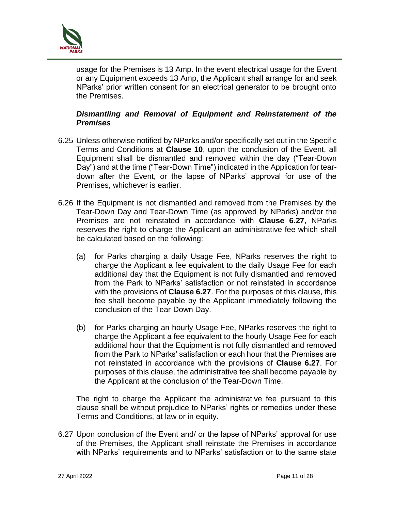

usage for the Premises is 13 Amp. In the event electrical usage for the Event or any Equipment exceeds 13 Amp, the Applicant shall arrange for and seek NParks' prior written consent for an electrical generator to be brought onto the Premises.

### *Dismantling and Removal of Equipment and Reinstatement of the Premises*

- 6.25 Unless otherwise notified by NParks and/or specifically set out in the Specific Terms and Conditions at **Clause 10**, upon the conclusion of the Event, all Equipment shall be dismantled and removed within the day ("Tear-Down Day") and at the time ("Tear-Down Time") indicated in the Application for teardown after the Event, or the lapse of NParks' approval for use of the Premises, whichever is earlier.
- 6.26 If the Equipment is not dismantled and removed from the Premises by the Tear-Down Day and Tear-Down Time (as approved by NParks) and/or the Premises are not reinstated in accordance with **Clause 6.27**, NParks reserves the right to charge the Applicant an administrative fee which shall be calculated based on the following:
	- (a) for Parks charging a daily Usage Fee, NParks reserves the right to charge the Applicant a fee equivalent to the daily Usage Fee for each additional day that the Equipment is not fully dismantled and removed from the Park to NParks' satisfaction or not reinstated in accordance with the provisions of **Clause 6.27**. For the purposes of this clause, this fee shall become payable by the Applicant immediately following the conclusion of the Tear-Down Day.
	- (b) for Parks charging an hourly Usage Fee, NParks reserves the right to charge the Applicant a fee equivalent to the hourly Usage Fee for each additional hour that the Equipment is not fully dismantled and removed from the Park to NParks' satisfaction or each hour that the Premises are not reinstated in accordance with the provisions of **Clause 6.27**. For purposes of this clause, the administrative fee shall become payable by the Applicant at the conclusion of the Tear-Down Time.

The right to charge the Applicant the administrative fee pursuant to this clause shall be without prejudice to NParks' rights or remedies under these Terms and Conditions, at law or in equity.

6.27 Upon conclusion of the Event and/ or the lapse of NParks' approval for use of the Premises, the Applicant shall reinstate the Premises in accordance with NParks' requirements and to NParks' satisfaction or to the same state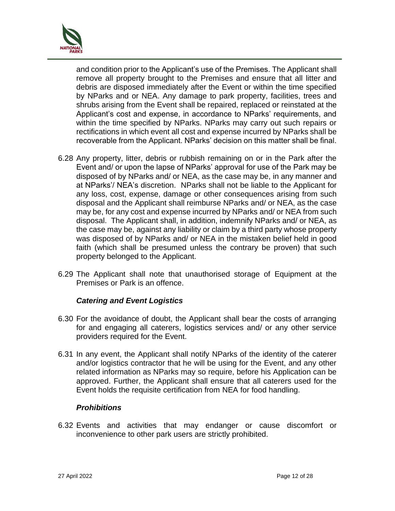

and condition prior to the Applicant's use of the Premises. The Applicant shall remove all property brought to the Premises and ensure that all litter and debris are disposed immediately after the Event or within the time specified by NParks and or NEA. Any damage to park property, facilities, trees and shrubs arising from the Event shall be repaired, replaced or reinstated at the Applicant's cost and expense, in accordance to NParks' requirements, and within the time specified by NParks. NParks may carry out such repairs or rectifications in which event all cost and expense incurred by NParks shall be recoverable from the Applicant. NParks' decision on this matter shall be final.

- 6.28 Any property, litter, debris or rubbish remaining on or in the Park after the Event and/ or upon the lapse of NParks' approval for use of the Park may be disposed of by NParks and/ or NEA, as the case may be, in any manner and at NParks'/ NEA's discretion. NParks shall not be liable to the Applicant for any loss, cost, expense, damage or other consequences arising from such disposal and the Applicant shall reimburse NParks and/ or NEA, as the case may be, for any cost and expense incurred by NParks and/ or NEA from such disposal. The Applicant shall, in addition, indemnify NParks and/ or NEA, as the case may be, against any liability or claim by a third party whose property was disposed of by NParks and/ or NEA in the mistaken belief held in good faith (which shall be presumed unless the contrary be proven) that such property belonged to the Applicant.
- 6.29 The Applicant shall note that unauthorised storage of Equipment at the Premises or Park is an offence.

### *Catering and Event Logistics*

- 6.30 For the avoidance of doubt, the Applicant shall bear the costs of arranging for and engaging all caterers, logistics services and/ or any other service providers required for the Event.
- 6.31 In any event, the Applicant shall notify NParks of the identity of the caterer and/or logistics contractor that he will be using for the Event, and any other related information as NParks may so require, before his Application can be approved. Further, the Applicant shall ensure that all caterers used for the Event holds the requisite certification from NEA for food handling.

### *Prohibitions*

6.32 Events and activities that may endanger or cause discomfort or inconvenience to other park users are strictly prohibited.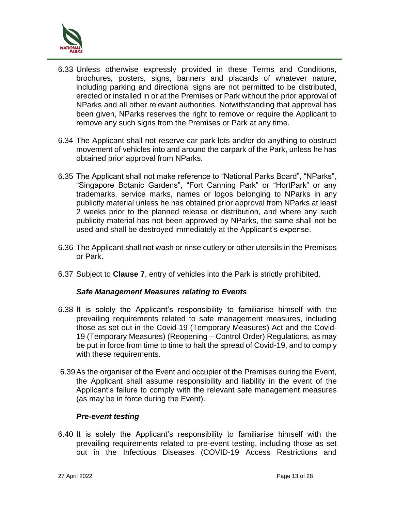

- 6.33 Unless otherwise expressly provided in these Terms and Conditions, brochures, posters, signs, banners and placards of whatever nature, including parking and directional signs are not permitted to be distributed, erected or installed in or at the Premises or Park without the prior approval of NParks and all other relevant authorities. Notwithstanding that approval has been given, NParks reserves the right to remove or require the Applicant to remove any such signs from the Premises or Park at any time.
- 6.34 The Applicant shall not reserve car park lots and/or do anything to obstruct movement of vehicles into and around the carpark of the Park, unless he has obtained prior approval from NParks.
- 6.35 The Applicant shall not make reference to "National Parks Board", "NParks", "Singapore Botanic Gardens", "Fort Canning Park" or "HortPark" or any trademarks, service marks, names or logos belonging to NParks in any publicity material unless he has obtained prior approval from NParks at least 2 weeks prior to the planned release or distribution, and where any such publicity material has not been approved by NParks, the same shall not be used and shall be destroyed immediately at the Applicant's expense.
- 6.36 The Applicant shall not wash or rinse cutlery or other utensils in the Premises or Park.
- 6.37 Subject to **Clause 7**, entry of vehicles into the Park is strictly prohibited.

### *Safe Management Measures relating to Events*

- 6.38 It is solely the Applicant's responsibility to familiarise himself with the prevailing requirements related to safe management measures, including those as set out in the Covid-19 (Temporary Measures) Act and the Covid-19 (Temporary Measures) (Reopening – Control Order) Regulations, as may be put in force from time to time to halt the spread of Covid-19, and to comply with these requirements.
- 6.39As the organiser of the Event and occupier of the Premises during the Event, the Applicant shall assume responsibility and liability in the event of the Applicant's failure to comply with the relevant safe management measures (as may be in force during the Event).

### *Pre-event testing*

6.40 It is solely the Applicant's responsibility to familiarise himself with the prevailing requirements related to pre-event testing, including those as set out in the Infectious Diseases (COVID-19 Access Restrictions and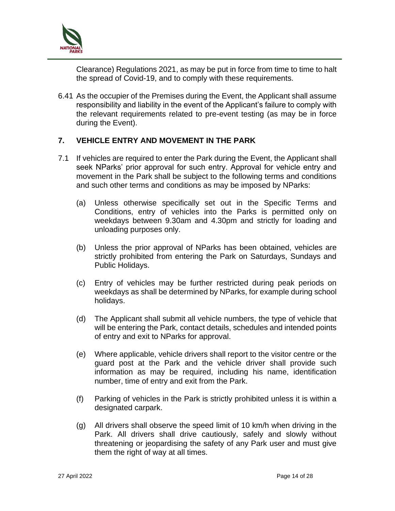

Clearance) Regulations 2021, as may be put in force from time to time to halt the spread of Covid-19, and to comply with these requirements.

6.41 As the occupier of the Premises during the Event, the Applicant shall assume responsibility and liability in the event of the Applicant's failure to comply with the relevant requirements related to pre-event testing (as may be in force during the Event).

### **7. VEHICLE ENTRY AND MOVEMENT IN THE PARK**

- 7.1 If vehicles are required to enter the Park during the Event, the Applicant shall seek NParks' prior approval for such entry. Approval for vehicle entry and movement in the Park shall be subject to the following terms and conditions and such other terms and conditions as may be imposed by NParks:
	- (a) Unless otherwise specifically set out in the Specific Terms and Conditions, entry of vehicles into the Parks is permitted only on weekdays between 9.30am and 4.30pm and strictly for loading and unloading purposes only.
	- (b) Unless the prior approval of NParks has been obtained, vehicles are strictly prohibited from entering the Park on Saturdays, Sundays and Public Holidays.
	- (c) Entry of vehicles may be further restricted during peak periods on weekdays as shall be determined by NParks, for example during school holidays.
	- (d) The Applicant shall submit all vehicle numbers, the type of vehicle that will be entering the Park, contact details, schedules and intended points of entry and exit to NParks for approval.
	- (e) Where applicable, vehicle drivers shall report to the visitor centre or the guard post at the Park and the vehicle driver shall provide such information as may be required, including his name, identification number, time of entry and exit from the Park.
	- (f) Parking of vehicles in the Park is strictly prohibited unless it is within a designated carpark.
	- (g) All drivers shall observe the speed limit of 10 km/h when driving in the Park. All drivers shall drive cautiously, safely and slowly without threatening or jeopardising the safety of any Park user and must give them the right of way at all times.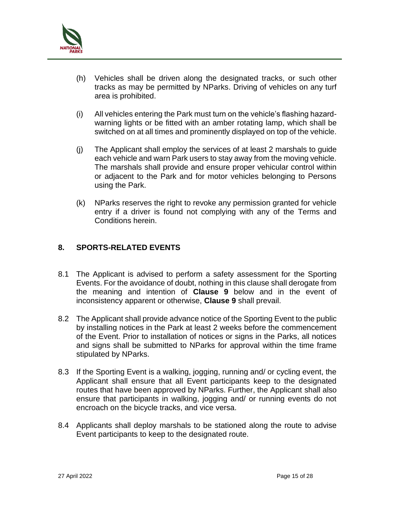

- (h) Vehicles shall be driven along the designated tracks, or such other tracks as may be permitted by NParks. Driving of vehicles on any turf area is prohibited.
- (i) All vehicles entering the Park must turn on the vehicle's flashing hazardwarning lights or be fitted with an amber rotating lamp, which shall be switched on at all times and prominently displayed on top of the vehicle.
- (j) The Applicant shall employ the services of at least 2 marshals to guide each vehicle and warn Park users to stay away from the moving vehicle. The marshals shall provide and ensure proper vehicular control within or adjacent to the Park and for motor vehicles belonging to Persons using the Park.
- (k) NParks reserves the right to revoke any permission granted for vehicle entry if a driver is found not complying with any of the Terms and Conditions herein.

# **8. SPORTS-RELATED EVENTS**

- 8.1 The Applicant is advised to perform a safety assessment for the Sporting Events. For the avoidance of doubt, nothing in this clause shall derogate from the meaning and intention of **Clause 9** below and in the event of inconsistency apparent or otherwise, **Clause 9** shall prevail.
- 8.2 The Applicant shall provide advance notice of the Sporting Event to the public by installing notices in the Park at least 2 weeks before the commencement of the Event. Prior to installation of notices or signs in the Parks, all notices and signs shall be submitted to NParks for approval within the time frame stipulated by NParks.
- 8.3 If the Sporting Event is a walking, jogging, running and/ or cycling event, the Applicant shall ensure that all Event participants keep to the designated routes that have been approved by NParks. Further, the Applicant shall also ensure that participants in walking, jogging and/ or running events do not encroach on the bicycle tracks, and vice versa.
- 8.4 Applicants shall deploy marshals to be stationed along the route to advise Event participants to keep to the designated route.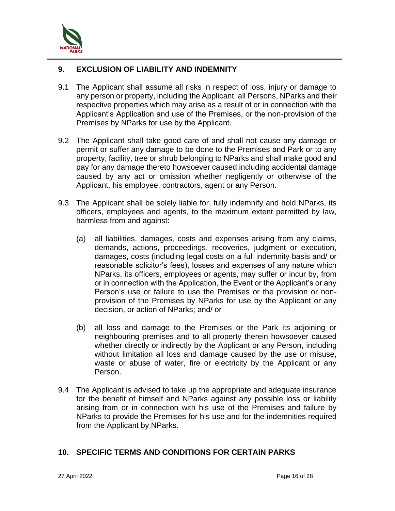

## **9. EXCLUSION OF LIABILITY AND INDEMNITY**

- 9.1 The Applicant shall assume all risks in respect of loss, injury or damage to any person or property, including the Applicant, all Persons, NParks and their respective properties which may arise as a result of or in connection with the Applicant's Application and use of the Premises, or the non-provision of the Premises by NParks for use by the Applicant.
- 9.2 The Applicant shall take good care of and shall not cause any damage or permit or suffer any damage to be done to the Premises and Park or to any property, facility, tree or shrub belonging to NParks and shall make good and pay for any damage thereto howsoever caused including accidental damage caused by any act or omission whether negligently or otherwise of the Applicant, his employee, contractors, agent or any Person.
- 9.3 The Applicant shall be solely liable for, fully indemnify and hold NParks, its officers, employees and agents, to the maximum extent permitted by law, harmless from and against:
	- (a) all liabilities, damages, costs and expenses arising from any claims, demands, actions, proceedings, recoveries, judgment or execution, damages, costs (including legal costs on a full indemnity basis and/ or reasonable solicitor's fees), losses and expenses of any nature which NParks, its officers, employees or agents, may suffer or incur by, from or in connection with the Application, the Event or the Applicant's or any Person's use or failure to use the Premises or the provision or nonprovision of the Premises by NParks for use by the Applicant or any decision, or action of NParks; and/ or
	- (b) all loss and damage to the Premises or the Park its adjoining or neighbouring premises and to all property therein howsoever caused whether directly or indirectly by the Applicant or any Person, including without limitation all loss and damage caused by the use or misuse, waste or abuse of water, fire or electricity by the Applicant or any Person.
- 9.4 The Applicant is advised to take up the appropriate and adequate insurance for the benefit of himself and NParks against any possible loss or liability arising from or in connection with his use of the Premises and failure by NParks to provide the Premises for his use and for the indemnities required from the Applicant by NParks.

### **10. SPECIFIC TERMS AND CONDITIONS FOR CERTAIN PARKS**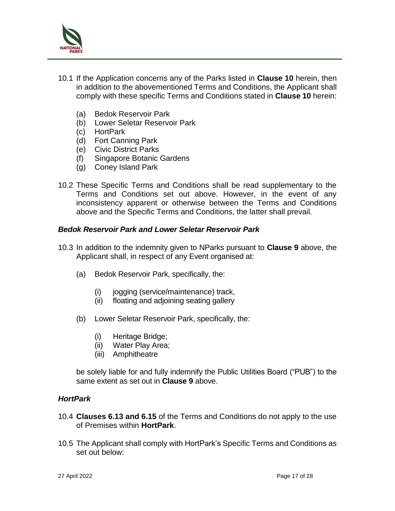

- 10.1 If the Application concerns any of the Parks listed in **Clause 10** herein, then in addition to the abovementioned Terms and Conditions, the Applicant shall comply with these specific Terms and Conditions stated in **Clause 10** herein:
	- (a) Bedok Reservoir Park
	- (b) Lower Seletar Reservoir Park
	- (c) HortPark
	- (d) Fort Canning Park
	- (e) Civic District Parks
	- (f) Singapore Botanic Gardens
	- (g) Coney Island Park
- 10.2 These Specific Terms and Conditions shall be read supplementary to the Terms and Conditions set out above. However, in the event of any inconsistency apparent or otherwise between the Terms and Conditions above and the Specific Terms and Conditions, the latter shall prevail.

#### *Bedok Reservoir Park and Lower Seletar Reservoir Park*

- 10.3 In addition to the indemnity given to NParks pursuant to **Clause 9** above, the Applicant shall, in respect of any Event organised at:
	- (a) Bedok Reservoir Park, specifically, the:
		- (i) jogging (service/maintenance) track,
		- (ii) floating and adjoining seating gallery
	- (b) Lower Seletar Reservoir Park, specifically, the:
		- (i) Heritage Bridge;
		- (ii) Water Play Area;
		- (iii) Amphitheatre

be solely liable for and fully indemnify the Public Utilities Board ("PUB") to the same extent as set out in **Clause 9** above.

#### *HortPark*

- 10.4 **Clauses 6.13 and 6.15** of the Terms and Conditions do not apply to the use of Premises within **HortPark**.
- 10.5 The Applicant shall comply with HortPark's Specific Terms and Conditions as set out below: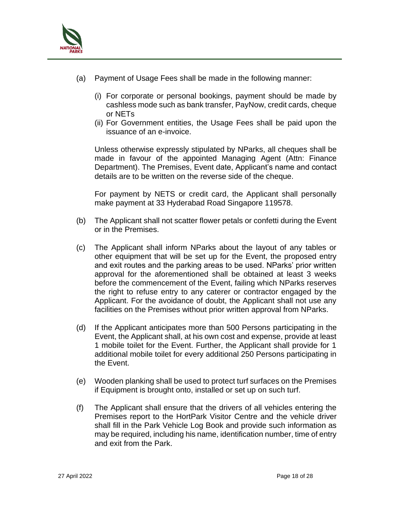

- (a) Payment of Usage Fees shall be made in the following manner:
	- (i) For corporate or personal bookings, payment should be made by cashless mode such as bank transfer, PayNow, credit cards, cheque or NETs
	- (ii) For Government entities, the Usage Fees shall be paid upon the issuance of an e-invoice.

Unless otherwise expressly stipulated by NParks, all cheques shall be made in favour of the appointed Managing Agent (Attn: Finance Department). The Premises, Event date, Applicant's name and contact details are to be written on the reverse side of the cheque.

For payment by NETS or credit card, the Applicant shall personally make payment at 33 Hyderabad Road Singapore 119578.

- (b) The Applicant shall not scatter flower petals or confetti during the Event or in the Premises.
- (c) The Applicant shall inform NParks about the layout of any tables or other equipment that will be set up for the Event, the proposed entry and exit routes and the parking areas to be used. NParks' prior written approval for the aforementioned shall be obtained at least 3 weeks before the commencement of the Event, failing which NParks reserves the right to refuse entry to any caterer or contractor engaged by the Applicant. For the avoidance of doubt, the Applicant shall not use any facilities on the Premises without prior written approval from NParks.
- (d) If the Applicant anticipates more than 500 Persons participating in the Event, the Applicant shall, at his own cost and expense, provide at least 1 mobile toilet for the Event. Further, the Applicant shall provide for 1 additional mobile toilet for every additional 250 Persons participating in the Event.
- (e) Wooden planking shall be used to protect turf surfaces on the Premises if Equipment is brought onto, installed or set up on such turf.
- (f) The Applicant shall ensure that the drivers of all vehicles entering the Premises report to the HortPark Visitor Centre and the vehicle driver shall fill in the Park Vehicle Log Book and provide such information as may be required, including his name, identification number, time of entry and exit from the Park.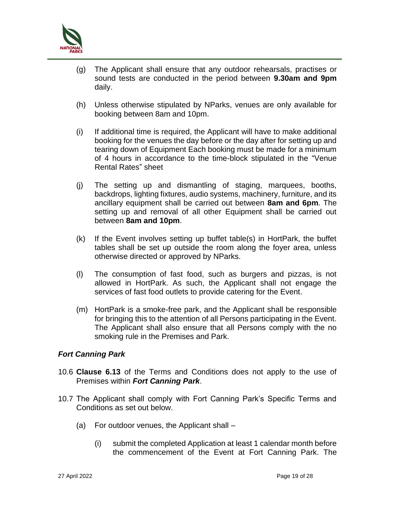

- (g) The Applicant shall ensure that any outdoor rehearsals, practises or sound tests are conducted in the period between **9.30am and 9pm** daily.
- (h) Unless otherwise stipulated by NParks, venues are only available for booking between 8am and 10pm.
- (i) If additional time is required, the Applicant will have to make additional booking for the venues the day before or the day after for setting up and tearing down of Equipment Each booking must be made for a minimum of 4 hours in accordance to the time-block stipulated in the "Venue Rental Rates" sheet
- (j) The setting up and dismantling of staging, marquees, booths, backdrops, lighting fixtures, audio systems, machinery, furniture, and its ancillary equipment shall be carried out between **8am and 6pm**. The setting up and removal of all other Equipment shall be carried out between **8am and 10pm**.
- (k) If the Event involves setting up buffet table(s) in HortPark, the buffet tables shall be set up outside the room along the foyer area, unless otherwise directed or approved by NParks.
- (l) The consumption of fast food, such as burgers and pizzas, is not allowed in HortPark. As such, the Applicant shall not engage the services of fast food outlets to provide catering for the Event.
- (m) HortPark is a smoke-free park, and the Applicant shall be responsible for bringing this to the attention of all Persons participating in the Event. The Applicant shall also ensure that all Persons comply with the no smoking rule in the Premises and Park.

### *Fort Canning Park*

- 10.6 **Clause 6.13** of the Terms and Conditions does not apply to the use of Premises within *Fort Canning Park*.
- 10.7 The Applicant shall comply with Fort Canning Park's Specific Terms and Conditions as set out below.
	- (a) For outdoor venues, the Applicant shall
		- (i) submit the completed Application at least 1 calendar month before the commencement of the Event at Fort Canning Park. The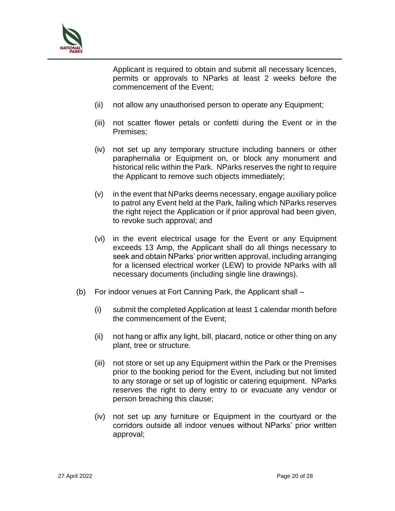

Applicant is required to obtain and submit all necessary licences, permits or approvals to NParks at least 2 weeks before the commencement of the Event;

- (ii) not allow any unauthorised person to operate any Equipment;
- (iii) not scatter flower petals or confetti during the Event or in the Premises;
- (iv) not set up any temporary structure including banners or other paraphernalia or Equipment on, or block any monument and historical relic within the Park. NParks reserves the right to require the Applicant to remove such objects immediately;
- $(v)$  in the event that NParks deems necessary, engage auxiliary police to patrol any Event held at the Park, failing which NParks reserves the right reject the Application or if prior approval had been given, to revoke such approval; and
- (vi) in the event electrical usage for the Event or any Equipment exceeds 13 Amp, the Applicant shall do all things necessary to seek and obtain NParks' prior written approval, including arranging for a licensed electrical worker (LEW) to provide NParks with all necessary documents (including single line drawings).
- (b) For indoor venues at Fort Canning Park, the Applicant shall
	- (i) submit the completed Application at least 1 calendar month before the commencement of the Event;
	- (ii) not hang or affix any light, bill, placard, notice or other thing on any plant, tree or structure.
	- (iii) not store or set up any Equipment within the Park or the Premises prior to the booking period for the Event, including but not limited to any storage or set up of logistic or catering equipment. NParks reserves the right to deny entry to or evacuate any vendor or person breaching this clause;
	- (iv) not set up any furniture or Equipment in the courtyard or the corridors outside all indoor venues without NParks' prior written approval;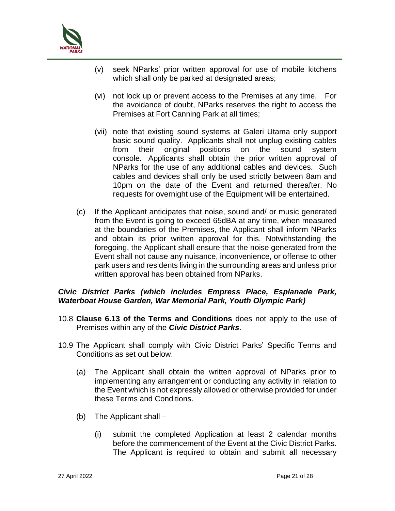

- (v) seek NParks' prior written approval for use of mobile kitchens which shall only be parked at designated areas;
- (vi) not lock up or prevent access to the Premises at any time. For the avoidance of doubt, NParks reserves the right to access the Premises at Fort Canning Park at all times;
- (vii) note that existing sound systems at Galeri Utama only support basic sound quality. Applicants shall not unplug existing cables from their original positions on the sound system console. Applicants shall obtain the prior written approval of NParks for the use of any additional cables and devices. Such cables and devices shall only be used strictly between 8am and 10pm on the date of the Event and returned thereafter. No requests for overnight use of the Equipment will be entertained.
- (c) If the Applicant anticipates that noise, sound and/ or music generated from the Event is going to exceed 65dBA at any time, when measured at the boundaries of the Premises, the Applicant shall inform NParks and obtain its prior written approval for this. Notwithstanding the foregoing, the Applicant shall ensure that the noise generated from the Event shall not cause any nuisance, inconvenience, or offense to other park users and residents living in the surrounding areas and unless prior written approval has been obtained from NParks.

### *Civic District Parks (which includes Empress Place, Esplanade Park, Waterboat House Garden, War Memorial Park, Youth Olympic Park)*

- 10.8 **Clause 6.13 of the Terms and Conditions** does not apply to the use of Premises within any of the *Civic District Parks*.
- 10.9 The Applicant shall comply with Civic District Parks' Specific Terms and Conditions as set out below.
	- (a) The Applicant shall obtain the written approval of NParks prior to implementing any arrangement or conducting any activity in relation to the Event which is not expressly allowed or otherwise provided for under these Terms and Conditions.
	- (b) The Applicant shall
		- (i) submit the completed Application at least 2 calendar months before the commencement of the Event at the Civic District Parks. The Applicant is required to obtain and submit all necessary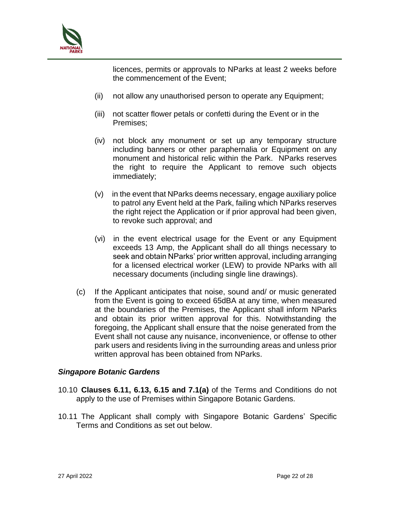

licences, permits or approvals to NParks at least 2 weeks before the commencement of the Event;

- (ii) not allow any unauthorised person to operate any Equipment;
- (iii) not scatter flower petals or confetti during the Event or in the Premises;
- (iv) not block any monument or set up any temporary structure including banners or other paraphernalia or Equipment on any monument and historical relic within the Park. NParks reserves the right to require the Applicant to remove such objects immediately;
- (v) in the event that NParks deems necessary, engage auxiliary police to patrol any Event held at the Park, failing which NParks reserves the right reject the Application or if prior approval had been given, to revoke such approval; and
- (vi) in the event electrical usage for the Event or any Equipment exceeds 13 Amp, the Applicant shall do all things necessary to seek and obtain NParks' prior written approval, including arranging for a licensed electrical worker (LEW) to provide NParks with all necessary documents (including single line drawings).
- (c) If the Applicant anticipates that noise, sound and/ or music generated from the Event is going to exceed 65dBA at any time, when measured at the boundaries of the Premises, the Applicant shall inform NParks and obtain its prior written approval for this. Notwithstanding the foregoing, the Applicant shall ensure that the noise generated from the Event shall not cause any nuisance, inconvenience, or offense to other park users and residents living in the surrounding areas and unless prior written approval has been obtained from NParks.

### *Singapore Botanic Gardens*

- 10.10 **Clauses 6.11, 6.13, 6.15 and 7.1(a)** of the Terms and Conditions do not apply to the use of Premises within Singapore Botanic Gardens.
- 10.11 The Applicant shall comply with Singapore Botanic Gardens' Specific Terms and Conditions as set out below.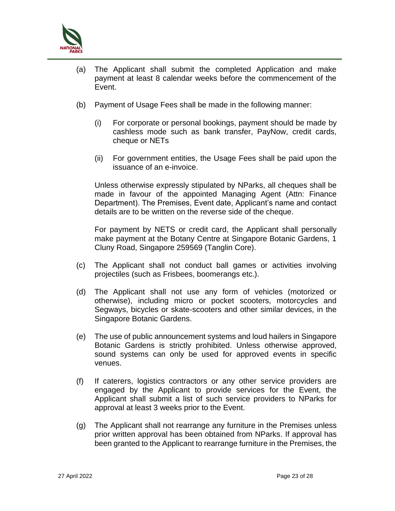

- (a) The Applicant shall submit the completed Application and make payment at least 8 calendar weeks before the commencement of the Event.
- (b) Payment of Usage Fees shall be made in the following manner:
	- (i) For corporate or personal bookings, payment should be made by cashless mode such as bank transfer, PayNow, credit cards, cheque or NETs
	- (ii) For government entities, the Usage Fees shall be paid upon the issuance of an e-invoice.

Unless otherwise expressly stipulated by NParks, all cheques shall be made in favour of the appointed Managing Agent (Attn: Finance Department). The Premises, Event date, Applicant's name and contact details are to be written on the reverse side of the cheque.

For payment by NETS or credit card, the Applicant shall personally make payment at the Botany Centre at Singapore Botanic Gardens, 1 Cluny Road, Singapore 259569 (Tanglin Core).

- (c) The Applicant shall not conduct ball games or activities involving projectiles (such as Frisbees, boomerangs etc.).
- (d) The Applicant shall not use any form of vehicles (motorized or otherwise), including micro or pocket scooters, motorcycles and Segways, bicycles or skate-scooters and other similar devices, in the Singapore Botanic Gardens.
- (e) The use of public announcement systems and loud hailers in Singapore Botanic Gardens is strictly prohibited. Unless otherwise approved, sound systems can only be used for approved events in specific venues.
- (f) If caterers, logistics contractors or any other service providers are engaged by the Applicant to provide services for the Event, the Applicant shall submit a list of such service providers to NParks for approval at least 3 weeks prior to the Event.
- (g) The Applicant shall not rearrange any furniture in the Premises unless prior written approval has been obtained from NParks. If approval has been granted to the Applicant to rearrange furniture in the Premises, the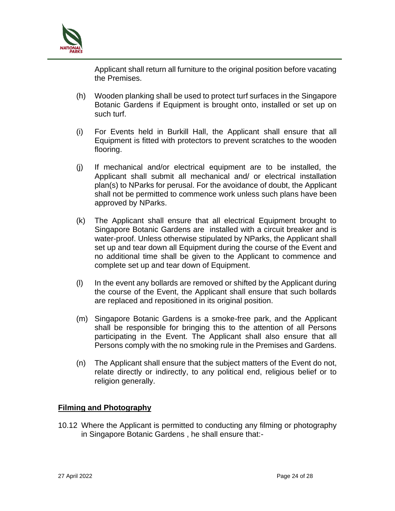

Applicant shall return all furniture to the original position before vacating the Premises.

- (h) Wooden planking shall be used to protect turf surfaces in the Singapore Botanic Gardens if Equipment is brought onto, installed or set up on such turf.
- (i) For Events held in Burkill Hall, the Applicant shall ensure that all Equipment is fitted with protectors to prevent scratches to the wooden flooring.
- (j) If mechanical and/or electrical equipment are to be installed, the Applicant shall submit all mechanical and/ or electrical installation plan(s) to NParks for perusal. For the avoidance of doubt, the Applicant shall not be permitted to commence work unless such plans have been approved by NParks.
- (k) The Applicant shall ensure that all electrical Equipment brought to Singapore Botanic Gardens are installed with a circuit breaker and is water-proof. Unless otherwise stipulated by NParks, the Applicant shall set up and tear down all Equipment during the course of the Event and no additional time shall be given to the Applicant to commence and complete set up and tear down of Equipment.
- (l) In the event any bollards are removed or shifted by the Applicant during the course of the Event, the Applicant shall ensure that such bollards are replaced and repositioned in its original position.
- (m) Singapore Botanic Gardens is a smoke-free park, and the Applicant shall be responsible for bringing this to the attention of all Persons participating in the Event. The Applicant shall also ensure that all Persons comply with the no smoking rule in the Premises and Gardens.
- (n) The Applicant shall ensure that the subject matters of the Event do not, relate directly or indirectly, to any political end, religious belief or to religion generally.

### **Filming and Photography**

10.12 Where the Applicant is permitted to conducting any filming or photography in Singapore Botanic Gardens , he shall ensure that:-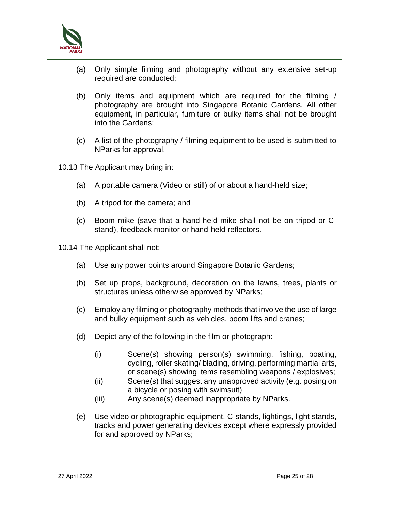

- (a) Only simple filming and photography without any extensive set-up required are conducted;
- (b) Only items and equipment which are required for the filming / photography are brought into Singapore Botanic Gardens. All other equipment, in particular, furniture or bulky items shall not be brought into the Gardens;
- (c) A list of the photography / filming equipment to be used is submitted to NParks for approval.
- 10.13 The Applicant may bring in:
	- (a) A portable camera (Video or still) of or about a hand-held size;
	- (b) A tripod for the camera; and
	- (c) Boom mike (save that a hand-held mike shall not be on tripod or Cstand), feedback monitor or hand-held reflectors.
- 10.14 The Applicant shall not:
	- (a) Use any power points around Singapore Botanic Gardens;
	- (b) Set up props, background, decoration on the lawns, trees, plants or structures unless otherwise approved by NParks;
	- (c) Employ any filming or photography methods that involve the use of large and bulky equipment such as vehicles, boom lifts and cranes;
	- (d) Depict any of the following in the film or photograph:
		- (i) Scene(s) showing person(s) swimming, fishing, boating, cycling, roller skating/ blading, driving, performing martial arts, or scene(s) showing items resembling weapons / explosives;
		- (ii) Scene(s) that suggest any unapproved activity (e.g. posing on a bicycle or posing with swimsuit)
		- (iii) Any scene(s) deemed inappropriate by NParks.
	- (e) Use video or photographic equipment, C-stands, lightings, light stands, tracks and power generating devices except where expressly provided for and approved by NParks;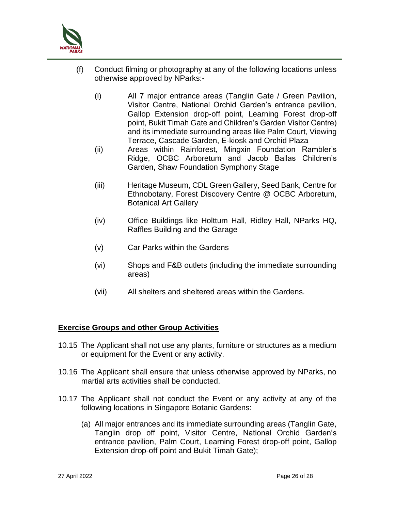

- (f) Conduct filming or photography at any of the following locations unless otherwise approved by NParks:-
	- (i) All 7 major entrance areas (Tanglin Gate / Green Pavilion, Visitor Centre, National Orchid Garden's entrance pavilion, Gallop Extension drop-off point, Learning Forest drop-off point, Bukit Timah Gate and Children's Garden Visitor Centre) and its immediate surrounding areas like Palm Court, Viewing Terrace, Cascade Garden, E-kiosk and Orchid Plaza
	- (ii) Areas within Rainforest, Mingxin Foundation Rambler's Ridge, OCBC Arboretum and Jacob Ballas Children's Garden, Shaw Foundation Symphony Stage
	- (iii) Heritage Museum, CDL Green Gallery, Seed Bank, Centre for Ethnobotany, Forest Discovery Centre @ OCBC Arboretum, Botanical Art Gallery
	- (iv) Office Buildings like Holttum Hall, Ridley Hall, NParks HQ, Raffles Building and the Garage
	- (v) Car Parks within the Gardens
	- (vi) Shops and F&B outlets (including the immediate surrounding areas)
	- (vii) All shelters and sheltered areas within the Gardens.

### **Exercise Groups and other Group Activities**

- 10.15 The Applicant shall not use any plants, furniture or structures as a medium or equipment for the Event or any activity.
- 10.16 The Applicant shall ensure that unless otherwise approved by NParks, no martial arts activities shall be conducted.
- 10.17 The Applicant shall not conduct the Event or any activity at any of the following locations in Singapore Botanic Gardens:
	- (a) All major entrances and its immediate surrounding areas (Tanglin Gate, Tanglin drop off point, Visitor Centre, National Orchid Garden's entrance pavilion, Palm Court, Learning Forest drop-off point, Gallop Extension drop-off point and Bukit Timah Gate);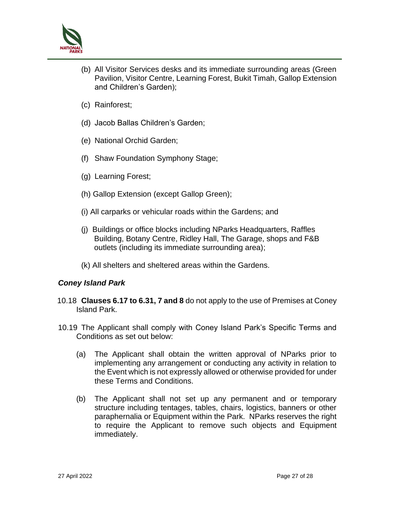

- (b) All Visitor Services desks and its immediate surrounding areas (Green Pavilion, Visitor Centre, Learning Forest, Bukit Timah, Gallop Extension and Children's Garden);
- (c) Rainforest;
- (d) Jacob Ballas Children's Garden;
- (e) National Orchid Garden;
- (f) Shaw Foundation Symphony Stage;
- (g) Learning Forest;
- (h) Gallop Extension (except Gallop Green);
- (i) All carparks or vehicular roads within the Gardens; and
- (j) Buildings or office blocks including NParks Headquarters, Raffles Building, Botany Centre, Ridley Hall, The Garage, shops and F&B outlets (including its immediate surrounding area);
- (k) All shelters and sheltered areas within the Gardens.

### *Coney Island Park*

- 10.18 **Clauses 6.17 to 6.31, 7 and 8** do not apply to the use of Premises at Coney Island Park.
- 10.19 The Applicant shall comply with Coney Island Park's Specific Terms and Conditions as set out below:
	- (a) The Applicant shall obtain the written approval of NParks prior to implementing any arrangement or conducting any activity in relation to the Event which is not expressly allowed or otherwise provided for under these Terms and Conditions.
	- (b) The Applicant shall not set up any permanent and or temporary structure including tentages, tables, chairs, logistics, banners or other paraphernalia or Equipment within the Park. NParks reserves the right to require the Applicant to remove such objects and Equipment immediately.